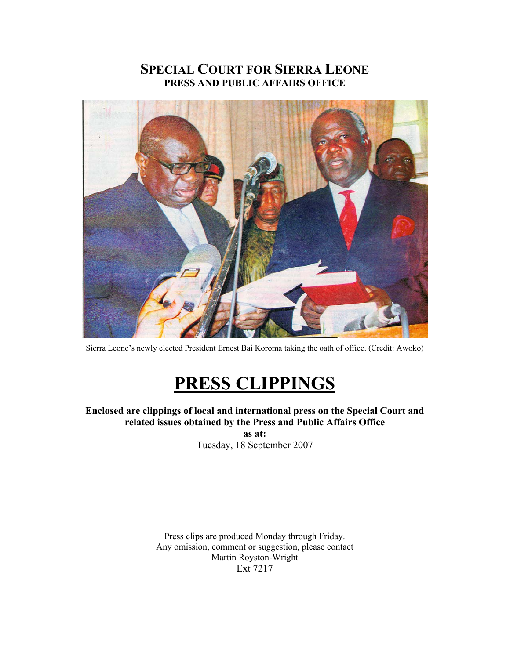# **SPECIAL COURT FOR SIERRA LEONE PRESS AND PUBLIC AFFAIRS OFFICE**



Sierra Leone's newly elected President Ernest Bai Koroma taking the oath of office. (Credit: Awoko)

# **PRESS CLIPPINGS**

**Enclosed are clippings of local and international press on the Special Court and related issues obtained by the Press and Public Affairs Office as at:** 

Tuesday, 18 September 2007

Press clips are produced Monday through Friday. Any omission, comment or suggestion, please contact Martin Royston-Wright Ext 7217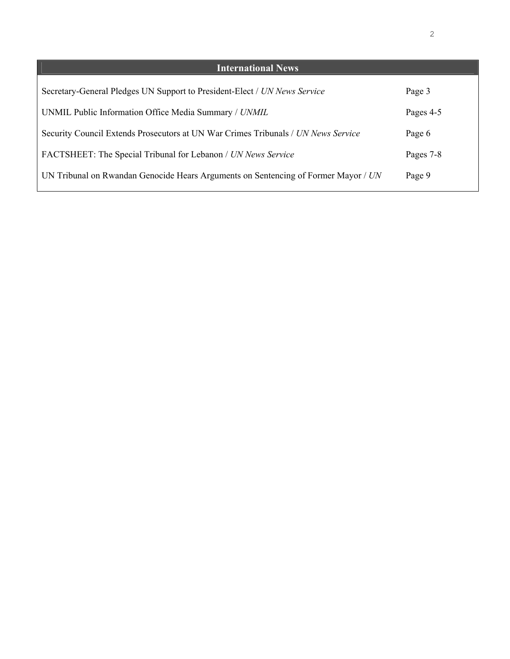| <b>International News</b>                                                          |           |
|------------------------------------------------------------------------------------|-----------|
| Secretary-General Pledges UN Support to President-Elect / UN News Service          | Page 3    |
| UNMIL Public Information Office Media Summary / UNMIL                              | Pages 4-5 |
| Security Council Extends Prosecutors at UN War Crimes Tribunals / UN News Service  | Page 6    |
| FACTSHEET: The Special Tribunal for Lebanon / UN News Service                      | Pages 7-8 |
| UN Tribunal on Rwandan Genocide Hears Arguments on Sentencing of Former Mayor / UN | Page 9    |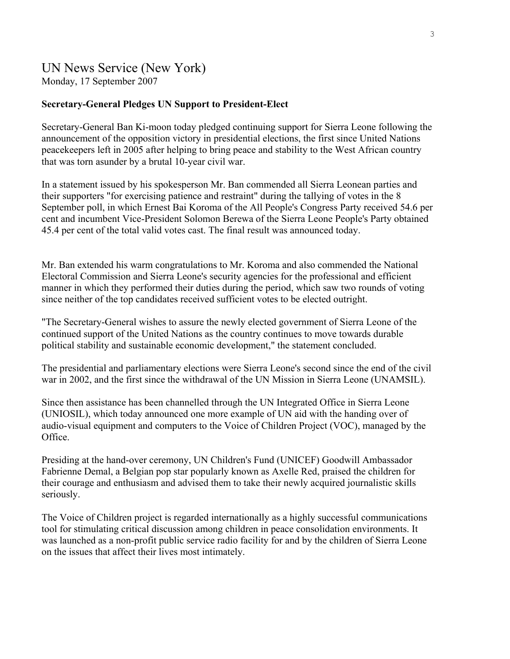# UN News Service (New York)

Monday, 17 September 2007

## **Secretary-General Pledges UN Support to President-Elect**

Secretary-General Ban Ki-moon today pledged continuing support for Sierra Leone following the announcement of the opposition victory in presidential elections, the first since United Nations peacekeepers left in 2005 after helping to bring peace and stability to the West African country that was torn asunder by a brutal 10-year civil war.

In a statement issued by his spokesperson Mr. Ban commended all Sierra Leonean parties and their supporters "for exercising patience and restraint" during the tallying of votes in the 8 September poll, in which Ernest Bai Koroma of the All People's Congress Party received 54.6 per cent and incumbent Vice-President Solomon Berewa of the Sierra Leone People's Party obtained 45.4 per cent of the total valid votes cast. The final result was announced today.

Mr. Ban extended his warm congratulations to Mr. Koroma and also commended the National Electoral Commission and Sierra Leone's security agencies for the professional and efficient manner in which they performed their duties during the period, which saw two rounds of voting since neither of the top candidates received sufficient votes to be elected outright.

"The Secretary-General wishes to assure the newly elected government of Sierra Leone of the continued support of the United Nations as the country continues to move towards durable political stability and sustainable economic development," the statement concluded.

The presidential and parliamentary elections were Sierra Leone's second since the end of the civil war in 2002, and the first since the withdrawal of the UN Mission in Sierra Leone (UNAMSIL).

Since then assistance has been channelled through the UN Integrated Office in Sierra Leone (UNIOSIL), which today announced one more example of UN aid with the handing over of audio-visual equipment and computers to the Voice of Children Project (VOC), managed by the Office.

Presiding at the hand-over ceremony, UN Children's Fund (UNICEF) Goodwill Ambassador Fabrienne Demal, a Belgian pop star popularly known as Axelle Red, praised the children for their courage and enthusiasm and advised them to take their newly acquired journalistic skills seriously.

The Voice of Children project is regarded internationally as a highly successful communications tool for stimulating critical discussion among children in peace consolidation environments. It was launched as a non-profit public service radio facility for and by the children of Sierra Leone on the issues that affect their lives most intimately.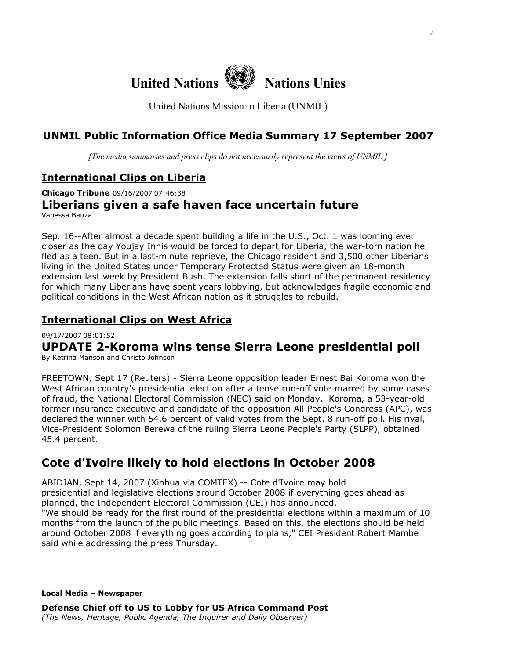

United Nations Mission in Liberia (UNMIL)

# **UNMIL Public Information Office Media Summary 17 September 2007**

*[The media summaries and press clips do not necessarily represent the views of UNMIL.]*

# **International Clips on Liberia**

**Chicago Tribune** 09/16/2007 07:46:38

**Liberians given a safe haven face uncertain future**  Vanessa Bauza

Sep. 16--After almost a decade spent building a life in the U.S., Oct. 1 was looming ever closer as the day Youjay Innis would be forced to depart for Liberia, the war-torn nation he fled as a teen. But in a last-minute reprieve, the Chicago resident and 3,500 other Liberians living in the United States under Temporary Protected Status were given an 18-month extension last week by President Bush. The extension falls short of the permanent residency for which many Liberians have spent years lobbying, but acknowledges fragile economic and political conditions in the West African nation as it struggles to rebuild.

# **International Clips on West Africa**

09/17/2007 08:01:52

# **UPDATE 2-Koroma wins tense Sierra Leone presidential poll**

By Katrina Manson and Christo Johnson

FREETOWN, Sept 17 (Reuters) - Sierra Leone opposition leader Ernest Bai Koroma won the West African country's presidential election after a tense run-off vote marred by some cases of fraud, the National Electoral Commission (NEC) said on Monday. Koroma, a 53-year-old former insurance executive and candidate of the opposition All People's Congress (APC), was declared the winner with 54.6 percent of valid votes from the Sept. 8 run-off poll. His rival, Vice-President Solomon Berewa of the ruling Sierra Leone People's Party (SLPP), obtained 45.4 percent.

# **Cote d'Ivoire likely to hold elections in October 2008**

ABIDJAN, Sept 14, 2007 (Xinhua via COMTEX) -- Cote d'Ivoire may hold presidential and legislative elections around October 2008 if everything goes ahead as planned, the Independent Electoral Commission (CEI) has announced. "We should be ready for the first round of the presidential elections within a maximum of 10 months from the launch of the public meetings. Based on this, the elections should be held around October 2008 if everything goes according to plans," CEI President Robert Mambe said while addressing the press Thursday.

**Local Media – Newspaper**

**Defense Chief off to US to Lobby for US Africa Command Post**  *(The News, Heritage, Public Agenda, The Inquirer and Daily Observer)*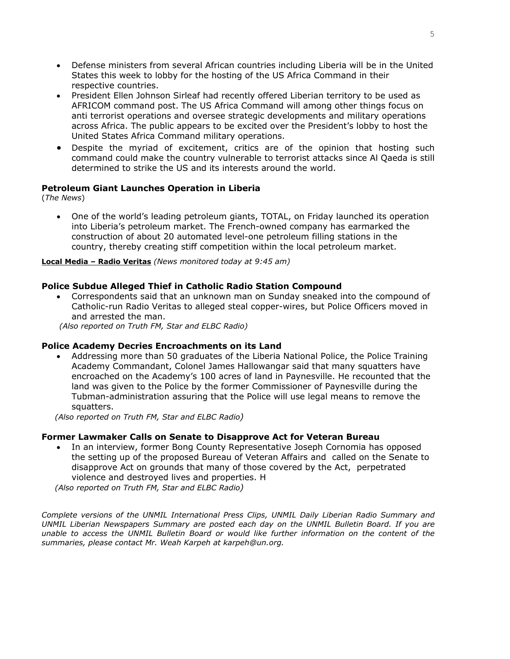- Defense ministers from several African countries including Liberia will be in the United States this week to lobby for the hosting of the US Africa Command in their respective countries.
- President Ellen Johnson Sirleaf had recently offered Liberian territory to be used as AFRICOM command post. The US Africa Command will among other things focus on anti terrorist operations and oversee strategic developments and military operations across Africa. The public appears to be excited over the President's lobby to host the United States Africa Command military operations.
- Despite the myriad of excitement, critics are of the opinion that hosting such command could make the country vulnerable to terrorist attacks since Al Qaeda is still determined to strike the US and its interests around the world.

## **Petroleum Giant Launches Operation in Liberia**

(*The News*)

• One of the world's leading petroleum giants, TOTAL, on Friday launched its operation into Liberia's petroleum market. The French-owned company has earmarked the construction of about 20 automated level-one petroleum filling stations in the country, thereby creating stiff competition within the local petroleum market.

#### **Local Media – Radio Veritas** *(News monitored today at 9:45 am)*

#### **Police Subdue Alleged Thief in Catholic Radio Station Compound**

• Correspondents said that an unknown man on Sunday sneaked into the compound of Catholic-run Radio Veritas to alleged steal copper-wires, but Police Officers moved in and arrested the man.

 *(Also reported on Truth FM, Star and ELBC Radio)*

#### **Police Academy Decries Encroachments on its Land**

• Addressing more than 50 graduates of the Liberia National Police, the Police Training Academy Commandant, Colonel James Hallowangar said that many squatters have encroached on the Academy's 100 acres of land in Paynesville. He recounted that the land was given to the Police by the former Commissioner of Paynesville during the Tubman-administration assuring that the Police will use legal means to remove the squatters.

 *(Also reported on Truth FM, Star and ELBC Radio)*

#### **Former Lawmaker Calls on Senate to Disapprove Act for Veteran Bureau**

• In an interview, former Bong County Representative Joseph Cornomia has opposed the setting up of the proposed Bureau of Veteran Affairs and called on the Senate to disapprove Act on grounds that many of those covered by the Act, perpetrated violence and destroyed lives and properties. H  *(Also reported on Truth FM, Star and ELBC Radio)*

*Complete versions of the UNMIL International Press Clips, UNMIL Daily Liberian Radio Summary and UNMIL Liberian Newspapers Summary are posted each day on the UNMIL Bulletin Board. If you are unable to access the UNMIL Bulletin Board or would like further information on the content of the summaries, please contact Mr. Weah Karpeh at karpeh@un.org.*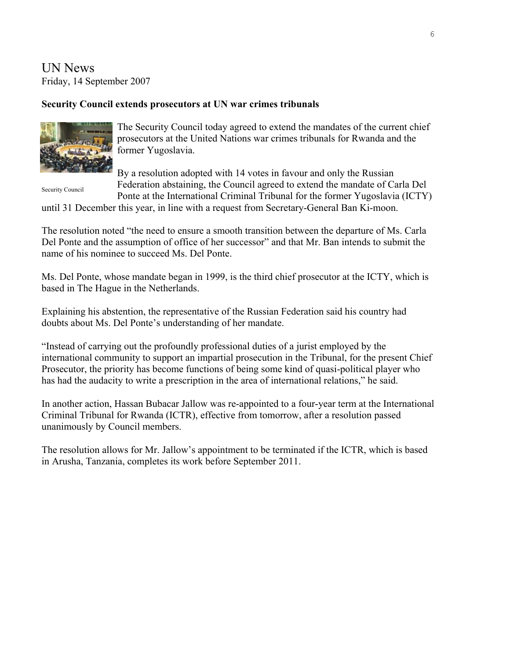UN News Friday, 14 September 2007

# **Security Council extends prosecutors at UN war crimes tribunals**



The Security Council today agreed to extend the mandates of the current chief prosecutors at the United Nations war crimes tribunals for Rwanda and the former Yugoslavia.

Security Council

By a resolution adopted with 14 votes in favour and only the Russian Federation abstaining, the Council agreed to extend the mandate of Carla Del

Ponte at the International Criminal Tribunal for the former Yugoslavia (ICTY) until 31 December this year, in line with a request from Secretary-General Ban Ki-moon.

The resolution noted "the need to ensure a smooth transition between the departure of Ms. Carla Del Ponte and the assumption of office of her successor" and that Mr. Ban intends to submit the name of his nominee to succeed Ms. Del Ponte.

Ms. Del Ponte, whose mandate began in 1999, is the third chief prosecutor at the [ICTY,](http://www.un.org/icty/) which is based in The Hague in the Netherlands.

Explaining his abstention, the representative of the Russian Federation said his country had doubts about Ms. Del Ponte's understanding of her mandate.

"Instead of carrying out the profoundly professional duties of a jurist employed by the international community to support an impartial prosecution in the Tribunal, for the present Chief Prosecutor, the priority has become functions of being some kind of quasi-political player who has had the audacity to write a prescription in the area of international relations," he said.

In another action, Hassan Bubacar Jallow was [re-appointed](http://www.un.org/News/Press/docs/2007/sc9114.doc.htm) to a four-year term at the International Criminal Tribunal for Rwanda (ICTR), effective from tomorrow, after a resolution passed unanimously by Council members.

The resolution allows for Mr. Jallow's appointment to be terminated if the ICTR, which is based in Arusha, Tanzania, completes its work before September 2011.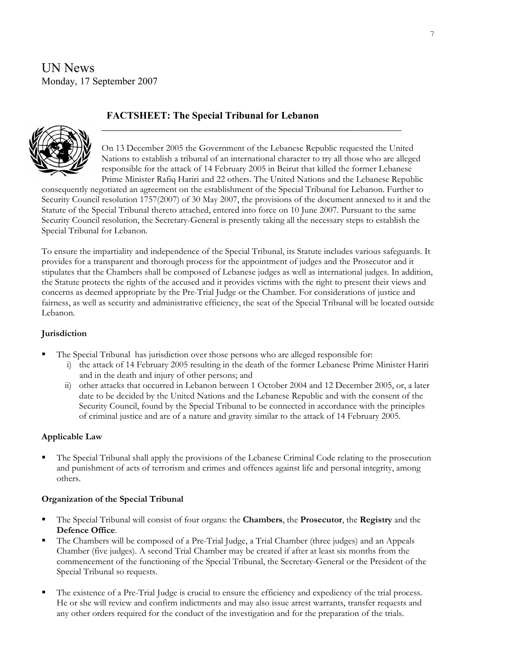UN News Monday, 17 September 2007

## **FACTSHEET: The Special Tribunal for Lebanon**

**\_\_\_\_\_\_\_\_\_\_\_\_\_\_\_\_\_\_\_\_\_\_\_\_\_\_\_\_\_\_\_\_\_\_\_\_\_\_\_\_\_\_\_\_\_\_\_\_\_\_\_**



On 13 December 2005 the Government of the Lebanese Republic requested the United Nations to establish a tribunal of an international character to try all those who are alleged responsible for the attack of 14 February 2005 in Beirut that killed the former Lebanese Prime Minister Rafiq Hariri and 22 others. The United Nations and the Lebanese Republic

consequently negotiated an agreement on the establishment of the Special Tribunal for Lebanon. Further to Security Council resolution 1757(2007) of 30 May 2007, the provisions of the document annexed to it and the Statute of the Special Tribunal thereto attached, entered into force on 10 June 2007. Pursuant to the same Security Council resolution, the Secretary-General is presently taking all the necessary steps to establish the Special Tribunal for Lebanon.

To ensure the impartiality and independence of the Special Tribunal, its Statute includes various safeguards. It provides for a transparent and thorough process for the appointment of judges and the Prosecutor and it stipulates that the Chambers shall be composed of Lebanese judges as well as international judges. In addition, the Statute protects the rights of the accused and it provides victims with the right to present their views and concerns as deemed appropriate by the Pre-Trial Judge or the Chamber. For considerations of justice and fairness, as well as security and administrative efficiency, the seat of the Special Tribunal will be located outside Lebanon.

#### **Jurisdiction**

- The Special Tribunal has jurisdiction over those persons who are alleged responsible for:
	- i) the attack of 14 February 2005 resulting in the death of the former Lebanese Prime Minister Hariri and in the death and injury of other persons; and
	- ii) other attacks that occurred in Lebanon between 1 October 2004 and 12 December 2005, or, a later date to be decided by the United Nations and the Lebanese Republic and with the consent of the Security Council, found by the Special Tribunal to be connected in accordance with the principles of criminal justice and are of a nature and gravity similar to the attack of 14 February 2005.

#### **Applicable Law**

 The Special Tribunal shall apply the provisions of the Lebanese Criminal Code relating to the prosecution and punishment of acts of terrorism and crimes and offences against life and personal integrity, among others.

#### **Organization of the Special Tribunal**

- The Special Tribunal will consist of four organs: the **Chambers**, the **Prosecutor**, the **Registry** and the **Defence Office**.
- The Chambers will be composed of a Pre-Trial Judge, a Trial Chamber (three judges) and an Appeals Chamber (five judges). A second Trial Chamber may be created if after at least six months from the commencement of the functioning of the Special Tribunal, the Secretary-General or the President of the Special Tribunal so requests.
- The existence of a Pre-Trial Judge is crucial to ensure the efficiency and expediency of the trial process. He or she will review and confirm indictments and may also issue arrest warrants, transfer requests and any other orders required for the conduct of the investigation and for the preparation of the trials.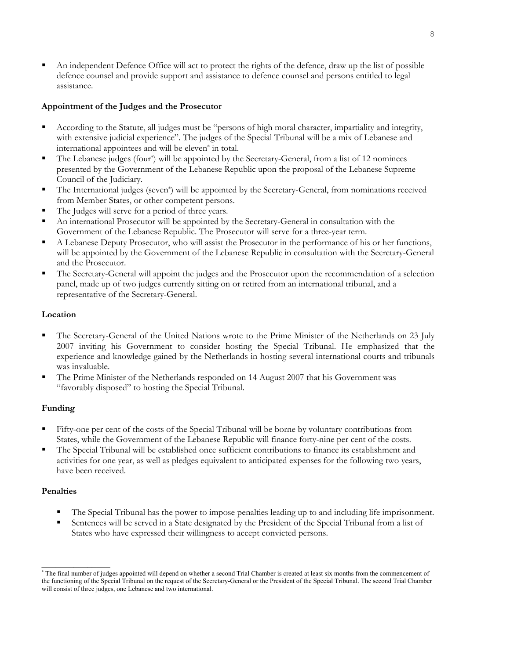An independent Defence Office will act to protect the rights of the defence, draw up the list of possible defence counsel and provide support and assistance to defence counsel and persons entitled to legal assistance.

## **Appointment of the Judges and the Prosecutor**

- According to the Statute, all judges must be "persons of high moral character, impartiality and integrity, with extensive judicial experience". The judges of the Special Tribunal will be a mix of Lebanese and international appointees and will be eleven\* in total.
- The Lebanese judges (four\*) will be appointed by the Secretary-General, from a list of 12 nominees presented by the Government of the Lebanese Republic upon the proposal of the Lebanese Supreme Council of the Judiciary.
- The International judges (seven\*) will be appointed by the Secretary-General, from nominations received from Member States, or other competent persons.
- The Judges will serve for a period of three years.
- An international Prosecutor will be appointed by the Secretary-General in consultation with the Government of the Lebanese Republic. The Prosecutor will serve for a three-year term.
- A Lebanese Deputy Prosecutor, who will assist the Prosecutor in the performance of his or her functions, will be appointed by the Government of the Lebanese Republic in consultation with the Secretary-General and the Prosecutor.
- The Secretary-General will appoint the judges and the Prosecutor upon the recommendation of a selection panel, made up of two judges currently sitting on or retired from an international tribunal, and a representative of the Secretary-General.

## **Location**

- The Secretary-General of the United Nations wrote to the Prime Minister of the Netherlands on 23 July 2007 inviting his Government to consider hosting the Special Tribunal. He emphasized that the experience and knowledge gained by the Netherlands in hosting several international courts and tribunals was invaluable.
- The Prime Minister of the Netherlands responded on 14 August 2007 that his Government was "favorably disposed" to hosting the Special Tribunal.

## **Funding**

- Fifty-one per cent of the costs of the Special Tribunal will be borne by voluntary contributions from States, while the Government of the Lebanese Republic will finance forty-nine per cent of the costs.
- The Special Tribunal will be established once sufficient contributions to finance its establishment and activities for one year, as well as pledges equivalent to anticipated expenses for the following two years, have been received.

## **Penalties**

 $\overline{\phantom{a}}$  , where  $\overline{\phantom{a}}$ 

- The Special Tribunal has the power to impose penalties leading up to and including life imprisonment.
- Sentences will be served in a State designated by the President of the Special Tribunal from a list of States who have expressed their willingness to accept convicted persons.

<sup>∗</sup> The final number of judges appointed will depend on whether a second Trial Chamber is created at least six months from the commencement of the functioning of the Special Tribunal on the request of the Secretary-General or the President of the Special Tribunal. The second Trial Chamber will consist of three judges, one Lebanese and two international.